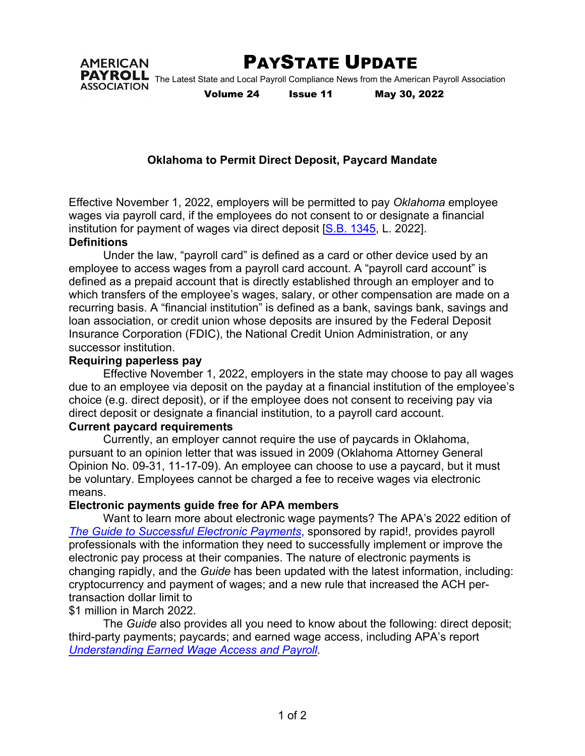

PAYSTATE UPDATE

PAYROLL The Latest State and Local Payroll Compliance News from the American Payroll Association **ASSOCIATION** 

**AMERICAN** 

Volume 24 Issue 11 May 30, 2022

## **Oklahoma to Permit Direct Deposit, Paycard Mandate**

Effective November 1, 2022, employers will be permitted to pay *Oklahoma* employee wages via payroll card, if the employees do not consent to or designate a financial institution for payment of wages via direct deposit [S.B. 1345, L. 2022].

#### **Definitions**

Under the law, "payroll card" is defined as a card or other device used by an employee to access wages from a payroll card account. A "payroll card account" is defined as a prepaid account that is directly established through an employer and to which transfers of the employee's wages, salary, or other compensation are made on a recurring basis. A "financial institution" is defined as a bank, savings bank, savings and loan association, or credit union whose deposits are insured by the Federal Deposit Insurance Corporation (FDIC), the National Credit Union Administration, or any successor institution.

### **Requiring paperless pay**

Effective November 1, 2022, employers in the state may choose to pay all wages due to an employee via deposit on the payday at a financial institution of the employee's choice (e.g. direct deposit), or if the employee does not consent to receiving pay via direct deposit or designate a financial institution, to a payroll card account.

#### **Current paycard requirements**

Currently, an employer cannot require the use of paycards in Oklahoma, pursuant to an opinion letter that was issued in 2009 (Oklahoma Attorney General Opinion No. 09-31, 11-17-09). An employee can choose to use a paycard, but it must be voluntary. Employees cannot be charged a fee to receive wages via electronic means.

#### **Electronic payments guide free for APA members**

Want to learn more about electronic wage payments? The APA's 2022 edition of *The Guide to Successful Electronic Payments*, sponsored by rapid!, provides payroll professionals with the information they need to successfully implement or improve the electronic pay process at their companies. The nature of electronic payments is changing rapidly, and the *Guide* has been updated with the latest information, including: cryptocurrency and payment of wages; and a new rule that increased the ACH pertransaction dollar limit to

## \$1 million in March 2022.

The *Guide* also provides all you need to know about the following: direct deposit; third-party payments; paycards; and earned wage access, including APA's report *Understanding Earned Wage Access and Payroll*.